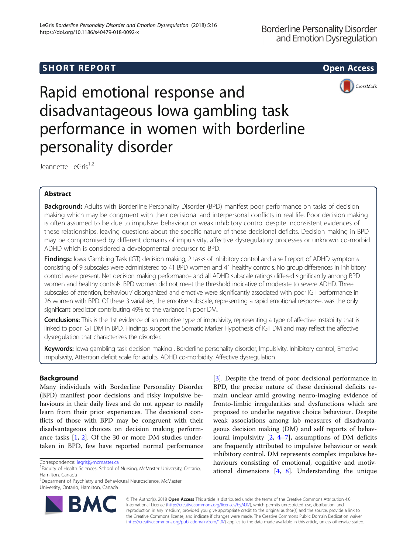# SHORT REPORT NAMEL AND THE SHORT CONSIDERED AND THE SHORT ACCESS OPEN ACCESS



Rapid emotional response and disadvantageous Iowa gambling task performance in women with borderline personality disorder

Jeannette LeGris<sup>1,2</sup>

# Abstract

Background: Adults with Borderline Personality Disorder (BPD) manifest poor performance on tasks of decision making which may be congruent with their decisional and interpersonal conflicts in real life. Poor decision making is often assumed to be due to impulsive behaviour or weak inhibitory control despite inconsistent evidences of these relationships, leaving questions about the specific nature of these decisional deficits. Decision making in BPD may be compromised by different domains of impulsivity, affective dysregulatory processes or unknown co-morbid ADHD which is considered a developmental precursor to BPD.

Findings: Iowa Gambling Task (IGT) decision making, 2 tasks of inhibitory control and a self report of ADHD symptoms consisting of 9 subscales were administered to 41 BPD women and 41 healthy controls. No group differences in inhibitory control were present. Net decision making performance and all ADHD subscale ratings differed significantly among BPD women and healthy controls. BPD women did not meet the threshold indicative of moderate to severe ADHD. Three subscales of attention, behaviour/ disorganized and emotive were significantly associated with poor IGT performance in 26 women with BPD. Of these 3 variables, the emotive subscale, representing a rapid emotional response, was the only significant predictor contributing 49% to the variance in poor DM.

Conclusions: This is the 1st evidence of an emotive type of impulsivity, representing a type of affective instability that is linked to poor IGT DM in BPD. Findings support the Somatic Marker Hypothesis of IGT DM and may reflect the affective dysregulation that characterizes the disorder.

Keywords: Iowa gambling task decision making, Borderline personality disorder, Impulsivity, Inhibitory control, Emotive impulsivity, Attention deficit scale for adults, ADHD co-morbidity, Affective dysregulation

# Background

Many individuals with Borderline Personality Disorder (BPD) manifest poor decisions and risky impulsive behaviours in their daily lives and do not appear to readily learn from their prior experiences. The decisional conflicts of those with BPD may be congruent with their disadvantageous choices on decision making performance tasks [[1,](#page-5-0) [2](#page-5-0)]. Of the 30 or more DM studies undertaken in BPD, few have reported normal performance

<sup>&</sup>lt;sup>2</sup>Deparment of Psychiatry and Behavioural Neuroscience, McMaster University, Ontario, Hamilton, Canada



© The Author(s). 2018 Open Access This article is distributed under the terms of the Creative Commons Attribution 4.0 International License [\(http://creativecommons.org/licenses/by/4.0/](http://creativecommons.org/licenses/by/4.0/)), which permits unrestricted use, distribution, and reproduction in any medium, provided you give appropriate credit to the original author(s) and the source, provide a link to the Creative Commons license, and indicate if changes were made. The Creative Commons Public Domain Dedication waiver [\(http://creativecommons.org/publicdomain/zero/1.0/](http://creativecommons.org/publicdomain/zero/1.0/)) applies to the data made available in this article, unless otherwise stated.



Correspondence: [legrisj@mcmaster.ca](mailto:legrisj@mcmaster.ca) <sup>1</sup>

<sup>&</sup>lt;sup>1</sup>Faculty of Health Sciences, School of Nursing, McMaster University, Ontario, Hamilton, Canada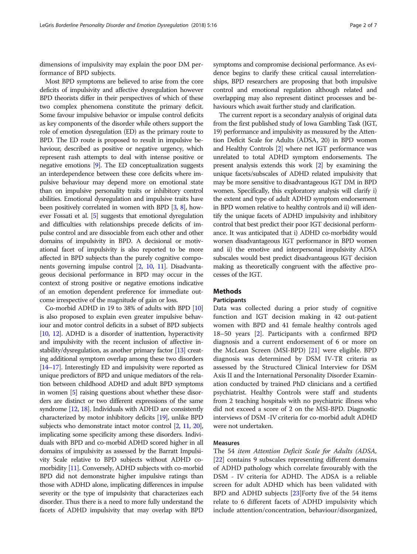dimensions of impulsivity may explain the poor DM performance of BPD subjects.

Most BPD symptoms are believed to arise from the core deficits of impulsivity and affective dysregulation however BPD theorists differ in their perspectives of which of these two complex phenomena constitute the primary deficit. Some favour impulsive behavior or impulse control deficits as key components of the disorder while others support the role of emotion dysregulation (ED) as the primary route to BPD. The ED route is proposed to result in impulsive behaviour, described as positive or negative urgency, which represent rash attempts to deal with intense positive or negative emotions [\[9\]](#page-6-0). The ED conceptualization suggests an interdependence between these core deficits where impulsive behaviour may depend more on emotional state than on impulsive personality traits or inhibitory control abilities. Emotional dysregulation and impulsive traits have been positively correlated in women with BPD [[3](#page-5-0), [8](#page-6-0)], however Fossati et al. [[5\]](#page-5-0) suggests that emotional dyregulation and difficulties with relationships precede deficits of impulse control and are dissociable from each other and other domains of impulsivity in BPD. A decisional or motivational facet of impulsivity is also reported to be more affected in BPD subjects than the purely cognitive components governing impulse control [\[2](#page-5-0), [10](#page-6-0), [11](#page-6-0)]. Disadvantageous decisional performance in BPD may occur in the context of strong positive or negative emotions indicative of an emotion dependent preference for immediate outcome irrespective of the magnitude of gain or loss.

Co-morbid ADHD in 19 to 38% of adults with BPD [\[10](#page-6-0)] is also proposed to explain even greater impulsive behaviour and motor control deficits in a subset of BPD subjects [[10](#page-6-0), [12\]](#page-6-0). ADHD is a disorder of inattention, hyperactivity and impulsivity with the recent inclusion of affective in-stability/dysregulation, as another primary factor [[13](#page-6-0)] creating additional symptom overlap among these two disorders [[14](#page-6-0)–[17](#page-6-0)]. Interestingly ED and impulsivity were reported as unique predictors of BPD and unique mediators of the relation between childhood ADHD and adult BPD symptoms in women [\[5\]](#page-5-0) raising questions about whether these disorders are distinct or two different expressions of the same syndrome [\[12,](#page-6-0) [18](#page-6-0)]. Individuals with ADHD are consistently characterized by motor inhibitory deficits [\[19\]](#page-6-0), unlike BPD subjects who demonstrate intact motor control [\[2,](#page-5-0) [11,](#page-6-0) [20](#page-6-0)], implicating some specificity among these disorders. Individuals with BPD and co-morbid ADHD scored higher in all domains of impulsivity as assessed by the Barratt Impulsivity Scale relative to BPD subjects without ADHD comorbidity [[11\]](#page-6-0). Conversely, ADHD subjects with co-morbid BPD did not demonstrate higher impulsive ratings than those with ADHD alone, implicating differences in impulse severity or the type of impulsivity that characterizes each disorder. Thus there is a need to more fully understand the facets of ADHD impulsivity that may overlap with BPD symptoms and compromise decisional performance. As evidence begins to clarify these critical causal interrelationships, BPD researchers are proposing that both impulsive control and emotional regulation although related and overlapping may also represent distinct processes and behaviours which await further study and clarification.

The current report is a secondary analysis of original data from the first published study of Iowa Gambling Task (IGT, 19) performance and impulsivity as measured by the Attention Deficit Scale for Adults (ADSA, 20) in BPD women and Healthy Controls [[2\]](#page-5-0) where net IGT performance was unrelated to total ADHD symptom endorsements. The present analysis extends this work [\[2\]](#page-5-0) by examining the unique facets/subscales of ADHD related impulsivity that may be more sensitive to disadvantageous IGT DM in BPD women. Specifically, this exploratory analysis will clarify i) the extent and type of adult ADHD symptom endorsement in BPD women relative to healthy controls and ii) will identify the unique facets of ADHD impulsivity and inhibitory control that best predict their poor IGT decisional performance. It was anticipated that i) ADHD co-morbidity would worsen disadvantageous IGT performance in BPD women and ii) the emotive and interpersonal impulsivity ADSA subscales would best predict disadvantageous IGT decision making as theoretically congruent with the affective processes of the IGT.

# Methods

## Participants

Data was collected during a prior study of cognitive function and IGT decision making in 42 out-patient women with BPD and 41 female healthy controls aged 18–50 years [\[2](#page-5-0)]. Participants with a confirmed BPD diagnosis and a current endorsement of 6 or more on the McLean Screen (MSI-BPD) [\[21\]](#page-6-0) were eligible. BPD diagnosis was determined by DSM IV-TR criteria as assessed by the Structured Clinical Interview for DSM Axis II and the International Personality Disorder Examination conducted by trained PhD clinicians and a certified psychiatrist. Healthy Controls were staff and students from 2 teaching hospitals with no psychiatric illness who did not exceed a score of 2 on the MSI-BPD. Diagnostic interviews of DSM -IV criteria for co-morbid adult ADHD were not undertaken.

# Measures

The 54 item Attention Deficit Scale for Adults (ADSA, [[22\]](#page-6-0) contains 9 subscales representing different domains of ADHD pathology which correlate favourably with the DSM - IV criteria for ADHD. The ADSA is a reliable screen for adult ADHD which has been validated with BPD and ADHD subjects [\[23\]](#page-6-0)Forty five of the 54 items relate to 6 different facets of ADHD impulsivity which include attention/concentration, behaviour/disorganized,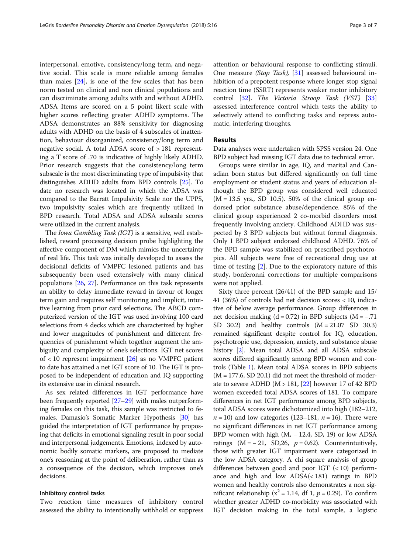interpersonal, emotive, consistency/long term, and negative social. This scale is more reliable among females than males  $[24]$  $[24]$ , is one of the few scales that has been norm tested on clinical and non clinical populations and can discriminate among adults with and without ADHD. ADSA Items are scored on a 5 point likert scale with higher scores reflecting greater ADHD symptoms. The ADSA demonstrates an 88% sensitivity for diagnosing adults with ADHD on the basis of 4 subscales of inattention, behaviour disorganized, consistency/long term and negative social. A total ADSA score of > 181 representing a T score of .70 is indicative of highly likely ADHD. Prior research suggests that the consistency/long term subscale is the most discriminating type of impulsivity that distinguishes ADHD adults from BPD controls [[25\]](#page-6-0). To date no research was located in which the ADSA was compared to the Barratt Impulsivity Scale nor the UPPS, two impulsivity scales which are frequently utilized in BPD research. Total ADSA and ADSA subscale scores were utilized in the current analysis.

The Iowa Gambling Task (IGT) is a sensitive, well established, reward processing decision probe highlighting the affective component of DM which mimics the uncertainty of real life. This task was initially developed to assess the decisional deficits of VMPFC lesioned patients and has subsequently been used extensively with many clinical populations [\[26,](#page-6-0) [27\]](#page-6-0). Performance on this task represents an ability to delay immediate reward in favour of longer term gain and requires self monitoring and implicit, intuitive learning from prior card selections. The ABCD computerized version of the IGT was used involving 100 card selections from 4 decks which are characterized by higher and lower magnitudes of punishment and different frequencies of punishment which together augment the ambiguity and complexity of one's selections. IGT net scores of < 10 represent impairment [[26](#page-6-0)] as no VMPFC patient to date has attained a net IGT score of 10. The IGT is proposed to be independent of education and IQ supporting its extensive use in clinical research.

As sex related differences in IGT performance have been frequently reported [\[27](#page-6-0)–[29](#page-6-0)] with males outperforming females on this task, this sample was restricted to females. Damasio's Somatic Marker Hypothesis [[30](#page-6-0)] has guided the interpretation of IGT performance by proposing that deficits in emotional signaling result in poor social and interpersonal judgements. Emotions, indexed by autonomic bodily somatic markers, are proposed to mediate one's reasoning at the point of deliberation, rather than as a consequence of the decision, which improves one's decisions.

### Inhibitory control tasks

Two reaction time measures of inhibitory control assessed the ability to intentionally withhold or suppress attention or behavioural response to conflicting stimuli. One measure (Stop Task), [[31\]](#page-6-0) assessed behavioural inhibition of a prepotent response where longer stop signal reaction time (SSRT) represents weaker motor inhibitory control [[32\]](#page-6-0). The Victoria Stroop Task (VST) [[33](#page-6-0)] assessed interference control which tests the ability to selectively attend to conflicting tasks and repress automatic, interfering thoughts.

### Results

Data analyses were undertaken with SPSS version 24. One BPD subject had missing IGT data due to technical error.

Groups were similar in age, IQ, and marital and Canadian born status but differed significantly on full time employment or student status and years of education although the BPD group was considered well educated  $(M = 13.5$  yrs., SD 10.5). 50% of the clinical group endorsed prior substance abuse/dependence. 85% of the clinical group experienced 2 co-morbid disorders most frequently involving anxiety. Childhood ADHD was suspected by 3 BPD subjects but without formal diagnosis. Only 1 BPD subject endorsed childhood ADHD. 76% of the BPD sample was stabilized on prescribed psychotropics. All subjects were free of recreational drug use at time of testing [\[2](#page-5-0)]. Due to the exploratory nature of this study, bonferonni corrections for multiple comparisons were not applied.

Sixty three percent (26/41) of the BPD sample and 15/ 41 (36%) of controls had net decision scores < 10, indicative of below average performance. Group differences in net decision making  $(d = 0.72)$  in BPD subjects  $(M = -.71)$ SD 30.2) and healthy controls  $(M = 21.07$  SD 30.3) remained significant despite control for IQ, education, psychotropic use, depression, anxiety, and substance abuse history [[2](#page-5-0)]. Mean total ADSA and all ADSA subscale scores differed significantly among BPD women and controls (Table [1](#page-3-0)). Mean total ADSA scores in BPD subjects  $(M = 177.6, SD 20.1)$  did not meet the threshold of moderate to severe ADHD  $(M > 181, [22]$  $(M > 181, [22]$  $(M > 181, [22]$  however 17 of 42 BPD women exceeded total ADSA scores of 181. To compare differences in net IGT performance among BPD subjects, total ADSA scores were dichotomized into high (182–212,  $n = 10$ ) and low categories (123–181,  $n = 16$ ). There were no significant differences in net IGT performance among BPD women with high (M, − 12.4, SD, 19) or low ADSA ratings  $(M = -21, SD,26, p = 0.62)$ . Counterintuitively, those with greater IGT impairment were categorized in the low ADSA category. A chi square analysis of group differences between good and poor IGT  $(< 10$ ) performance and high and low ADSA(< 181) ratings in BPD women and healthy controls also demonstrates a non significant relationship ( $x^2 = 1.14$ , df 1,  $p = 0.29$ ). To confirm whether greater ADHD co-morbidity was associated with IGT decision making in the total sample, a logistic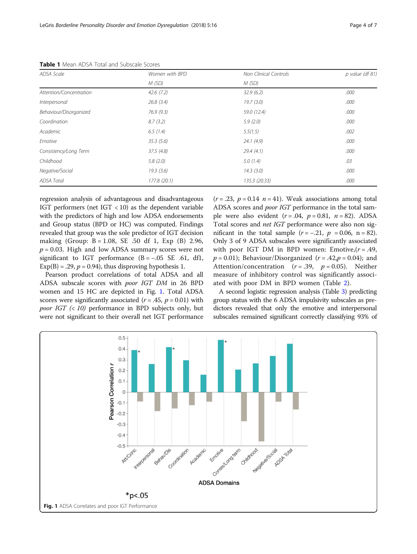| ADSA Scale              | Women with BPD | <b>Non Clinical Controls</b> | $p$ value (df 81) |  |
|-------------------------|----------------|------------------------------|-------------------|--|
|                         | M(SD)          | M(SD)                        |                   |  |
| Attention/Concentration | 42.6(7.2)      | 32.9(6.2)                    | .000              |  |
| Interpersonal           | 26.8(3.4)      | 19.7(3.0)                    |                   |  |
| Behaviour/Disorganized  | 76.9(9.3)      | 59.0 (12.4)                  | .000              |  |
| Coordination            | 8.7(3.2)       | 5.9(2.0)                     | .000              |  |
| Academic                | 6.5(1.4)       | 5.5(1.5)                     | .002              |  |
| Emotive                 | 35.3(5.6)      | 24.1(4.9)                    | .000              |  |
| Consistency/Long Term   | 37.5(4.8)      | 29.4(4.1)                    | .000              |  |
| Childhood               | 5.8(2.0)       | 5.0(1.4)                     | .03               |  |
| Negative/Social         | 19.3(3.6)      | 14.3(3.0)                    | .000              |  |
| <b>ADSA Total</b>       | 177.8 (20.1)   | 135.3 (20.33)                | .000              |  |

<span id="page-3-0"></span>Table 1 Mean ADSA Total and Subscale Scores

regression analysis of advantageous and disadvantageous IGT performers (net IGT < 10) as the dependent variable with the predictors of high and low ADSA endorsements and Group status (BPD or HC) was computed. Findings revealed that group was the sole predictor of IGT decision making (Group: B = 1.08, SE .50 df 1, Exp (B) 2.96,  $p = 0.03$ . High and low ADSA summary scores were not significant to IGT performance  $(B = -.05 \text{ SE } .61, \text{ df1},$  $Exp(B) = .29$ ,  $p = 0.94$ ), thus disproving hypothesis 1.

Pearson product correlations of total ADSA and all ADSA subscale scores with poor IGT DM in 26 BPD women and 15 HC are depicted in Fig. 1. Total ADSA scores were significantly associated ( $r = .45$ ,  $p = 0.01$ ) with *poor IGT*  $\langle$  ( $\langle$  10) performance in BPD subjects only, but were not significant to their overall net IGT performance

 $(r=.23, p=.14, n=.41)$ . Weak associations among total ADSA scores and poor IGT performance in the total sample were also evident  $(r=.04, p=.081, n=.82)$ . ADSA Total scores and net IGT performance were also non significant in the total sample  $(r = -.21, p = 0.06, n = 82)$ . Only 3 of 9 ADSA subscales were significantly associated with poor IGT DM in BPD women: Emotive, $(r = .49, )$  $p = 0.01$ ); Behaviour/Disorganized ( $r = .42$ , $p = 0.04$ ); and Attention/concentration  $(r=.39, p=.005)$ . Neither measure of inhibitory control was significantly associated with poor DM in BPD women (Table [2](#page-4-0)).

A second logistic regression analysis (Table [3\)](#page-4-0) predicting group status with the 6 ADSA impulsivity subscales as predictors revealed that only the emotive and interpersonal subscales remained significant correctly classifying 93% of

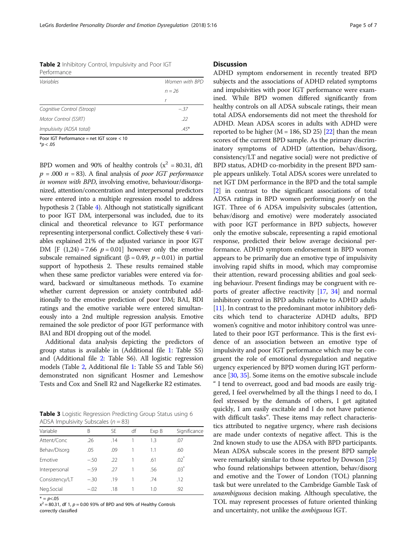<span id="page-4-0"></span>Table 2 Inhibitory Control, Impulsivity and Poor IGT Performance

| Variables                  | Women with BPD |
|----------------------------|----------------|
|                            | $n = 26$       |
|                            | r              |
| Cognitive Control (Stroop) | $-.37$         |
| Motor Control (SSRT)       | .22            |
| Impulsivity (ADSA total)   | $.45*$         |
|                            |                |

Poor IGT Performance = net IGT score < 10

 $*p < .05$ 

BPD women and 90% of healthy controls ( $x^2$  = 80.31, df1  $p = .000 n = 83$ . A final analysis of *poor IGT performance* in women with BPD, involving emotive, behaviour/disorganized, attention/concentration and interpersonal predictors were entered into a multiple regression model to address hypothesis 2 (Table [4\)](#page-5-0). Although not statistically significant to poor IGT DM, interpersonal was included, due to its clinical and theoretical relevance to IGT performance representing interpersonal conflict. Collectively these 4 variables explained 21% of the adjusted variance in poor IGT DM [F  $(1,24) = 7.66$   $p = 0.01$ ] however only the emotive subscale remained significant ( $\beta$  = 0.49,  $p$  = 0.01) in partial support of hypothesis 2. These results remained stable when these same predictor variables were entered via forward, backward or simultaneous methods. To examine whether current depression or anxiety contributed additionally to the emotive prediction of poor DM; BAI, BDI ratings and the emotive variable were entered simultaneously into a 2nd multiple regression analysis. Emotive remained the sole predictor of poor IGT performance with BAI and BDI dropping out of the model.

Additional data analysis depicting the predictors of group status is available in (Additional file [1:](#page-5-0) Table S5) and (Additional file [2:](#page-5-0) Table S6). All logistic regression models (Table 2, Additional file [1](#page-5-0): Table S5 and Table S6) demonstrated non significant Hosmer and Lemeshow Tests and Cox and Snell R2 and Nagelkerke R2 estimates.

Table 3 Logistic Regression Predicting Group Status using 6 ADSA Impulsivity Subscales  $(n = 83)$ 

| Variable       | В      | SF  | df | Exp B | Significance |  |  |  |
|----------------|--------|-----|----|-------|--------------|--|--|--|
| Attent/Conc    | .26    | .14 |    | 1.3   | .07          |  |  |  |
| Behav/Disorg   | .05    | .09 |    | 1.1   | .60          |  |  |  |
| Emotive        | $-.50$ | .22 |    | .61   | $.02^*$      |  |  |  |
| Interpersonal  | $-.59$ | .27 |    | .56   | $.03*$       |  |  |  |
| Consistency/LT | $-.30$ | .19 |    | .74   | .12          |  |  |  |
| Neg.Social     | $-.02$ | .18 |    | 1.0   | .92          |  |  |  |
|                |        |     |    |       |              |  |  |  |

 $* = p < .05$ 

 $x^2 = 80.31$ , df 1,  $p = 0.00$  93% of BPD and 90% of Healthy Controls correctly classified

# **Discussion**

ADHD symptom endorsement in recently treated BPD subjects and the associations of ADHD related symptoms and impulsivities with poor IGT performance were examined. While BPD women differed significantly from healthy controls on all ADSA subscale ratings, their mean total ADSA endorsements did not meet the threshold for ADHD. Mean ADSA scores in adults with ADHD were reported to be higher ( $M = 186$ , SD 25) [[22](#page-6-0)] than the mean scores of the current BPD sample. As the primary discriminatory symptoms of ADHD (attention, behav/disorg, consistency/LT and negative social) were not predictive of BPD status, ADHD co-morbidity in the present BPD sample appears unlikely. Total ADSA scores were unrelated to net IGT DM performance in the BPD and the total sample [[2\]](#page-5-0) in contrast to the significant associations of total ADSA ratings in BPD women performing poorly on the IGT. Three of 6 ADSA impulsivity subscales (attention, behav/disorg and emotive) were moderately associated with poor IGT performance in BPD subjects, however only the emotive subscale, representing a rapid emotional response, predicted their below average decisional performance. ADHD symptom endorsement in BPD women appears to be primarily due an emotive type of impulsivity involving rapid shifts in mood, which may compromise their attention, reward processing abilities and goal seeking behaviour. Present findings may be congruent with reports of greater affective reactivity [\[17](#page-6-0), [34\]](#page-6-0) and normal inhibitory control in BPD adults relative to ADHD adults [[11](#page-6-0)]. In contrast to the predominant motor inhibitory deficits which tend to characterize ADHD adults, BPD women's cognitive and motor inhibitory control was unrelated to their poor IGT performance. This is the first evidence of an association between an emotive type of impulsivity and poor IGT performance which may be congruent the role of emotional dysregulation and negative urgency experienced by BPD women during IGT performance [[30](#page-6-0), [35\]](#page-6-0). Some items on the emotive subscale include " I tend to overreact, good and bad moods are easily triggered, I feel overwhelmed by all the things I need to do, I feel stressed by the demands of others, I get agitated quickly, I am easily excitable and I do not have patience with difficult tasks". These items may reflect characteristics attributed to negative urgency, where rash decisions are made under contexts of negative affect. This is the 2nd known study to use the ADSA with BPD participants. Mean ADSA subscale scores in the present BPD sample were remarkably similar to those reported by Dowson [[25](#page-6-0)] who found relationships between attention, behav/disorg and emotive and the Tower of London (TOL) planning task but were unrelated to the Cambridge Gamble Task of unambiguous decision making. Although speculative, the TOL may represent processes of future oriented thinking and uncertainty, not unlike the *ambiguous* IGT.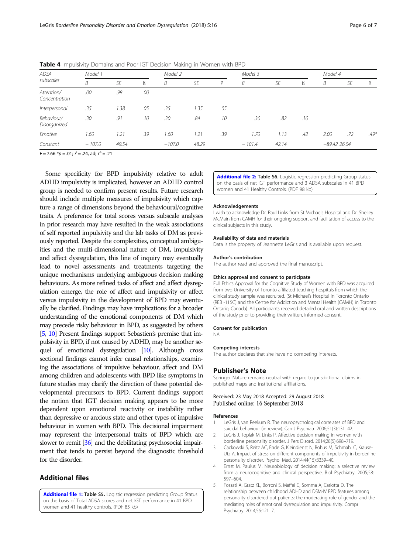| Model 1<br><b>ADSA</b><br>subscales |       |     | Model 2  |       | Model 3 |                   |      | Model 4 |      |     |               |
|-------------------------------------|-------|-----|----------|-------|---------|-------------------|------|---------|------|-----|---------------|
| B                                   | SE    | ß   | B        | SE    | P       | B                 | SE   | ß       | В    | SE  | ß             |
| .00                                 | .98   | .00 |          |       |         |                   |      |         |      |     |               |
| .35                                 | 1.38  | .05 | .35      | 1.35  | .05     |                   |      |         |      |     |               |
| .30                                 | .91   | .10 | .30      | .84   | .10     | .30               | .82  | .10     |      |     |               |
| 1.60                                | 1.21  | .39 | 1.60     | 1.21  | .39     | 1.70              | 1.13 | .42     | 2.00 | .72 | $.49*$        |
| $-107.0$                            | 49.54 |     | $-107.0$ | 48.29 |         | $-101.4$<br>42.14 |      |         |      |     |               |
|                                     |       |     |          |       |         |                   |      |         |      |     | $-89.4226.04$ |

<span id="page-5-0"></span>Table 4 Impulsivity Domains and Poor IGT Decision Making in Women with BPD

 $F = 7.66$   $\binom{*}{p} = .01$ ;  $r' = .24$ , adj  $r^3 = .21$ 

Some specificity for BPD impulsivity relative to adult ADHD impulsivity is implicated, however an ADHD control group is needed to confirm present results. Future research should include multiple measures of impulsivity which capture a range of dimensions beyond the behavioural/cognitive traits. A preference for total scores versus subscale analyses in prior research may have resulted in the weak associations of self reported impulsivity and the lab tasks of DM as previously reported. Despite the complexities, conceptual ambiguities and the multi-dimensional nature of DM, impulsivity and affect dysregulation, this line of inquiry may eventually lead to novel assessments and treatments targeting the unique mechanisms underlying ambiguous decision making behaviours. As more refined tasks of affect and affect dysregulation emerge, the role of affect and impulsivity or affect versus impulsivity in the development of BPD may eventually be clarified. Findings may have implications for a broader understanding of the emotional components of DM which may precede risky behaviour in BPD, as suggested by others [5, [10](#page-6-0)] Present findings support Sebastien's premise that impulsivity in BPD, if not caused by ADHD, may be another sequel of emotional dysregulation [\[10\]](#page-6-0). Although cross sectional findings cannot infer causal relationships, examining the associations of impulsive behaviour, affect and DM among children and adolescents with BPD like symptoms in future studies may clarify the direction of these potential developmental precursors to BPD. Current findings support the notion that IGT decision making appears to be more dependent upon emotional reactivity or instability rather than depressive or anxious state and other types of impulsive behaviour in women with BPD. This decisional impairment may represent the interpersonal traits of BPD which are slower to remit [[36\]](#page-6-0) and the debilitating psychosocial impairment that tends to persist beyond the diagnostic threshold for the disorder.

## Additional files

[Additional file 1:](https://doi.org/10.1186/s40479-018-0092-x) Table S5. Logistic regression predicting Group Status on the basis of Total ADSA scores and net IGT performance in 41 BPD women and 41 healthy controls. (PDF 85 kb)

[Additional file 2:](https://doi.org/10.1186/s40479-018-0092-x) Table S6. Logistic regression predicting Group status on the basis of net IGT performance and 3 ADSA subscales in 41 BPD women and 41 Healthy Controls. (PDF 98 kb)

#### Acknowledgements

I wish to acknowledge Dr. Paul Links from St Michaels Hospital and Dr. Shelley McMain from CAMH for their ongoing support and facilitation of access to the clinical subjects in this study.

#### Availability of data and materials

Data is the property of Jeannette LeGris and is available upon request.

#### Author's contribution

The author read and approved the final manuscript.

### Ethics approval and consent to participate

Full Ethics Approval for the Cognitive Study of Women with BPD was acquired from two University of Toronto affiliated teaching hospitals from which the clinical study sample was recruited. (St Michael's Hospital in Toronto Ontario (REB -115C) and the Centre for Addiction and Mental Health (CAMH) in Toronto Ontario, Canada). All participants received detailed oral and written descriptions of the study prior to providing their written, informed consent.

#### Consent for publication

NA

#### Competing interests

The author declares that she have no competing interests.

#### Publisher's Note

Springer Nature remains neutral with regard to jurisdictional claims in published maps and institutional affiliations.

### Received: 23 May 2018 Accepted: 29 August 2018 Published online: 16 September 2018

#### References

- 1. LeGris J, van Reekum R. The neuropsychological correlates of BPD and suicidal behaviour (in review). Can J Psychiatr. 2006;51(3):131–42.
- 2. LeGris J, Toplak M, Links P. Affective decision making in women with borderline personality disorder. J Pers Disord. 2014;28(5):698–719.
- 3. Cackowski S, Reitz AC, Ende G, Kleindienst N, Bohus M, Schmahl C, Krause-Utz A. Impact of stress on different components of impulsivity in borderline personality disorder. Psychol Med. 2014;44(15):3339–40.
- 4. Ernst M, Paulus M. Neurobiology of decision making: a selective review from a neurocognitive and clinical perspective. Biol Psychiatry. 2005;58: 597–604.
- 5. Fossati A, Gratz KL, Borroni S, Maffei C, Somma A, Carlotta D. The relationship between childhood ADHD and DSM-IV BPD features among personality disordered out patients: the moderating role of gender and the mediating roles of emotional dysregulation and impulsivity. Compr Psychiatry. 2014;56:121–7.